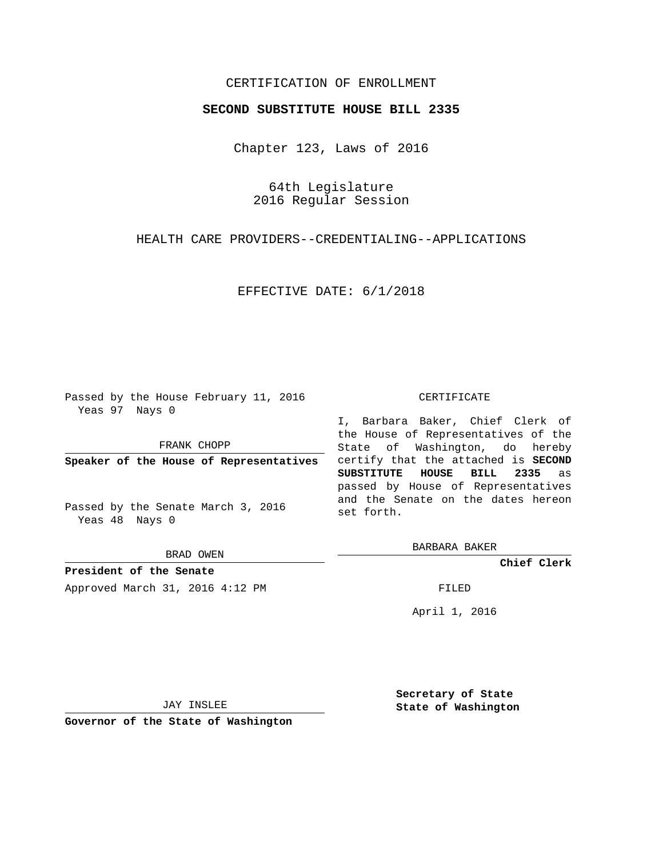## CERTIFICATION OF ENROLLMENT

## **SECOND SUBSTITUTE HOUSE BILL 2335**

Chapter 123, Laws of 2016

64th Legislature 2016 Regular Session

HEALTH CARE PROVIDERS--CREDENTIALING--APPLICATIONS

EFFECTIVE DATE: 6/1/2018

Passed by the House February 11, 2016 Yeas 97 Nays 0

FRANK CHOPP

**Speaker of the House of Representatives**

Passed by the Senate March 3, 2016 Yeas 48 Nays 0

BRAD OWEN

**President of the Senate** Approved March 31, 2016 4:12 PM FILED

## CERTIFICATE

I, Barbara Baker, Chief Clerk of the House of Representatives of the State of Washington, do hereby certify that the attached is **SECOND SUBSTITUTE HOUSE BILL 2335** as passed by House of Representatives and the Senate on the dates hereon set forth.

BARBARA BAKER

**Chief Clerk**

April 1, 2016

JAY INSLEE

**Governor of the State of Washington**

**Secretary of State State of Washington**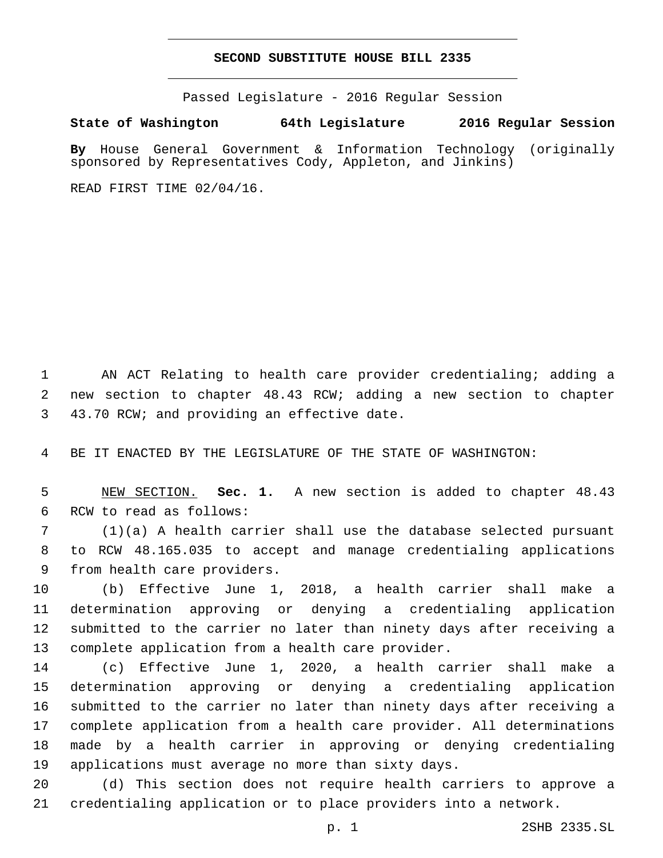## **SECOND SUBSTITUTE HOUSE BILL 2335**

Passed Legislature - 2016 Regular Session

**State of Washington 64th Legislature 2016 Regular Session**

**By** House General Government & Information Technology (originally sponsored by Representatives Cody, Appleton, and Jinkins)

READ FIRST TIME 02/04/16.

 AN ACT Relating to health care provider credentialing; adding a new section to chapter 48.43 RCW; adding a new section to chapter 3 43.70 RCW; and providing an effective date.

BE IT ENACTED BY THE LEGISLATURE OF THE STATE OF WASHINGTON:

 NEW SECTION. **Sec. 1.** A new section is added to chapter 48.43 6 RCW to read as follows:

 (1)(a) A health carrier shall use the database selected pursuant to RCW 48.165.035 to accept and manage credentialing applications 9 from health care providers.

 (b) Effective June 1, 2018, a health carrier shall make a determination approving or denying a credentialing application submitted to the carrier no later than ninety days after receiving a 13 complete application from a health care provider.

 (c) Effective June 1, 2020, a health carrier shall make a determination approving or denying a credentialing application submitted to the carrier no later than ninety days after receiving a complete application from a health care provider. All determinations made by a health carrier in approving or denying credentialing applications must average no more than sixty days.

 (d) This section does not require health carriers to approve a credentialing application or to place providers into a network.